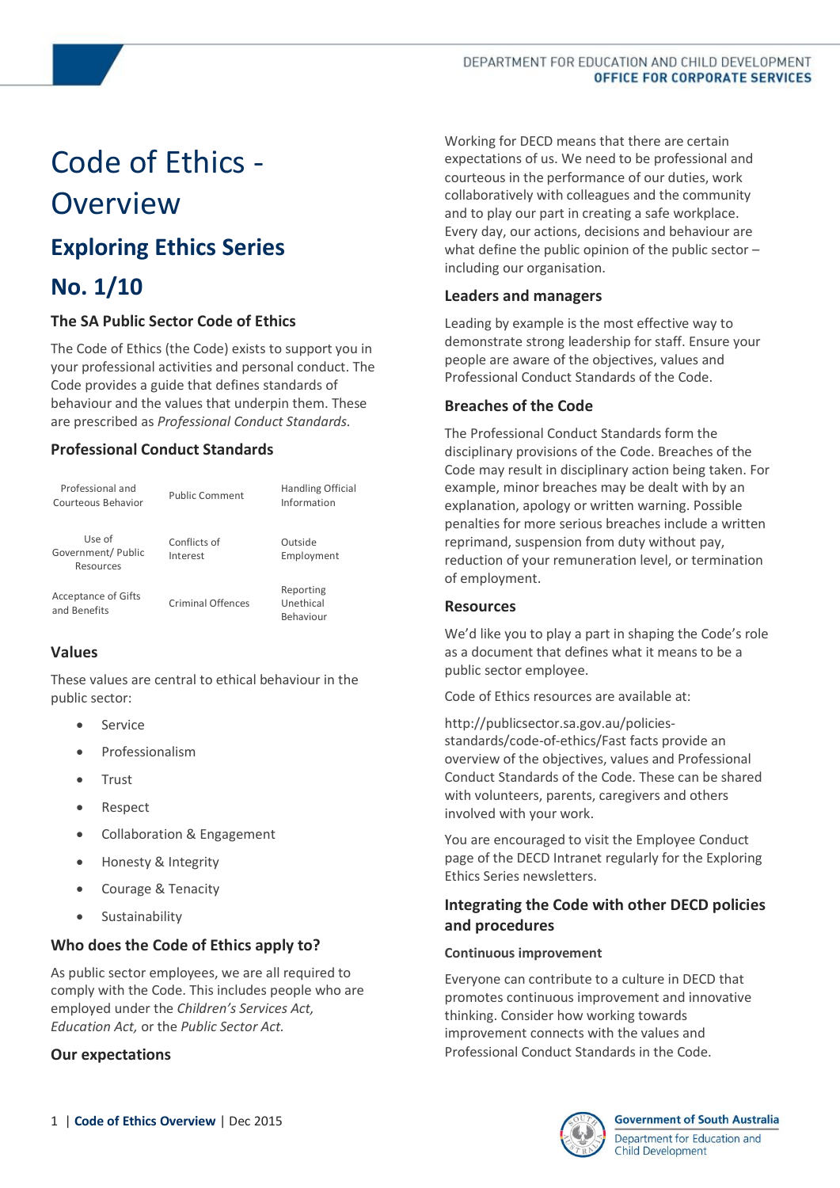# Code of Ethics - Overview

# **Exploring Ethics Series**

# **No. 1/10**

### **The SA Public Sector Code of Ethics**

The Code of Ethics (the Code) exists to support you in your professional activities and personal conduct. The Code provides a guide that defines standards of behaviour and the values that underpin them. These are prescribed as *Professional Conduct Standards.*

# **Professional Conduct Standards**

| Professional and<br>Courteous Behavior     | <b>Public Comment</b>    | <b>Handling Official</b><br>Information |
|--------------------------------------------|--------------------------|-----------------------------------------|
| Use of<br>Government/ Public<br>Resources  | Conflicts of<br>Interest | Outside<br>Employment                   |
| <b>Acceptance of Gifts</b><br>and Benefits | <b>Criminal Offences</b> | Reporting<br>Unethical<br>Behaviour     |

# **Values**

These values are central to ethical behaviour in the public sector:

- Service
- Professionalism
- Trust
- Respect
- Collaboration & Engagement
- Honesty & Integrity
- Courage & Tenacity
- **•** Sustainability

# **Who does the Code of Ethics apply to?**

As public sector employees, we are all required to comply with the Code. This includes people who are employed under the *Children's Services Act, Education Act,* or the *Public Sector Act.*

### **Our expectations**

Working for DECD means that there are certain expectations of us. We need to be professional and courteous in the performance of our duties, work collaboratively with colleagues and the community and to play our part in creating a safe workplace. Every day, our actions, decisions and behaviour are what define the public opinion of the public sector – including our organisation.

## **Leaders and managers**

Leading by example is the most effective way to demonstrate strong leadership for staff. Ensure your people are aware of the objectives, values and Professional Conduct Standards of the Code.

### **Breaches of the Code**

The Professional Conduct Standards form the disciplinary provisions of the Code. Breaches of the Code may result in disciplinary action being taken. For example, minor breaches may be dealt with by an explanation, apology or written warning. Possible penalties for more serious breaches include a written reprimand, suspension from duty without pay, reduction of your remuneration level, or termination of employment.

#### **Resources**

We'd like you to play a part in shaping the Code's role as a document that defines what it means to be a public sector employee.

Code of Ethics resources are available at:

http://publicsector.sa.gov.au/policiesstandards/code-of-ethics/Fast facts provide an overview of the objectives, values and Professional Conduct Standards of the Code. These can be shared with volunteers, parents, caregivers and others involved with your work.

You are encouraged to visit the Employee Conduct page of the DECD Intranet regularly for the Exploring Ethics Series newsletters.

# **Integrating the Code with other DECD policies and procedures**

#### **Continuous improvement**

Everyone can contribute to a culture in DECD that promotes continuous improvement and innovative thinking. Consider how working towards improvement connects with the values and Professional Conduct Standards in the Code.



#### **Government of South Australia**